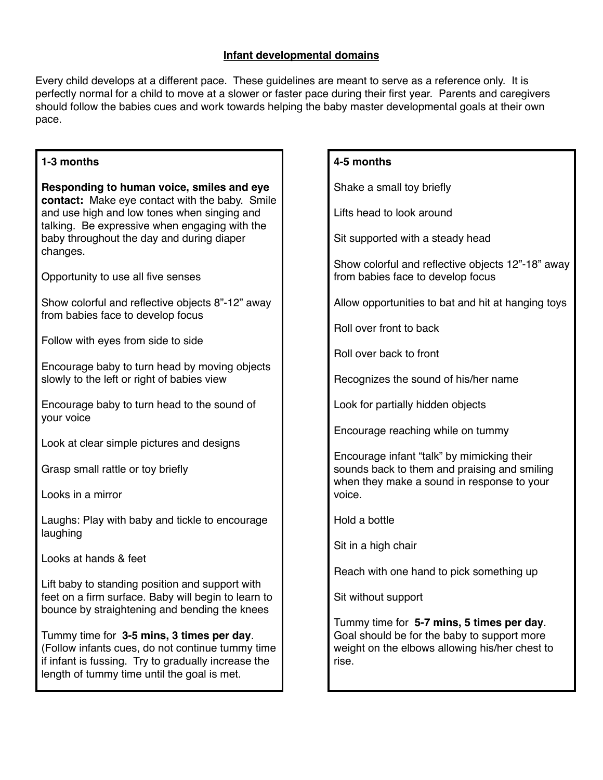#### **Infant developmental domains**

Every child develops at a different pace. These guidelines are meant to serve as a reference only. It is perfectly normal for a child to move at a slower or faster pace during their first year. Parents and caregivers should follow the babies cues and work towards helping the baby master developmental goals at their own pace.

## **1-3 months**

| Responding to human voice, smiles and eye<br>contact: Make eye contact with the baby. Smile<br>and use high and low tones when singing and<br>talking. Be expressive when engaging with the<br>baby throughout the day and during diaper<br>changes. |  |
|------------------------------------------------------------------------------------------------------------------------------------------------------------------------------------------------------------------------------------------------------|--|
| Opportunity to use all five senses                                                                                                                                                                                                                   |  |
| Show colorful and reflective objects 8"-12" away<br>from babies face to develop focus                                                                                                                                                                |  |
| Follow with eyes from side to side                                                                                                                                                                                                                   |  |
| Encourage baby to turn head by moving objects<br>slowly to the left or right of babies view                                                                                                                                                          |  |
| Encourage baby to turn head to the sound of<br>your voice                                                                                                                                                                                            |  |
| Look at clear simple pictures and designs                                                                                                                                                                                                            |  |
| Grasp small rattle or toy briefly                                                                                                                                                                                                                    |  |
| Looks in a mirror                                                                                                                                                                                                                                    |  |
| Laughs: Play with baby and tickle to encourage<br>laughing                                                                                                                                                                                           |  |
| Looks at hands & feet                                                                                                                                                                                                                                |  |
| Lift baby to standing position and support with<br>feet on a firm surface. Baby will begin to learn to<br>bounce by straightening and bending the knees                                                                                              |  |
| Tummy time for 3-5 mins, 3 times per day.<br>(Follow infants cues, do not continue tummy time<br>if infant is fussing. Try to gradually increase the<br>length of tummy time until the goal is met.                                                  |  |

# **4-5 months**

Shake a small toy briefly

Lifts head to look around

Sit supported with a steady head

Show colorful and reflective objects 12"-18" away from babies face to develop focus

Allow opportunities to bat and hit at hanging toys

Roll over front to back

Roll over back to front

Recognizes the sound of his/her name

Look for partially hidden objects

Encourage reaching while on tummy

Encourage infant "talk" by mimicking their sounds back to them and praising and smiling when they make a sound in response to your voice.

Hold a bottle

Sit in a high chair

Reach with one hand to pick something up

Sit without support

Tummy time for **5-7 mins, 5 times per day**. Goal should be for the baby to support more weight on the elbows allowing his/her chest to rise.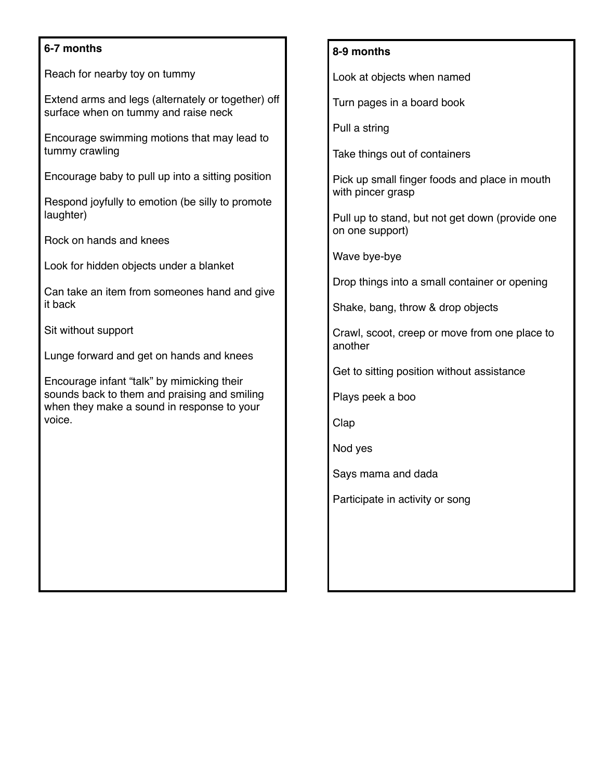## **6-7 months**

Reach for nearby toy on tummy

Extend arms and legs (alternately or together) off surface when on tummy and raise neck

Encourage swimming motions that may lead to tummy crawling

Encourage baby to pull up into a sitting position

Respond joyfully to emotion (be silly to promote laughter)

Rock on hands and knees

Look for hidden objects under a blanket

Can take an item from someones hand and give it back

Sit without support

Lunge forward and get on hands and knees

Encourage infant "talk" by mimicking their sounds back to them and praising and smiling when they make a sound in response to your voice.

#### **8-9 months**

Look at objects when named

Turn pages in a board book

Pull a string

Take things out of containers

Pick up small finger foods and place in mouth with pincer grasp

Pull up to stand, but not get down (provide one on one support)

Wave bye-bye

Drop things into a small container or opening

Shake, bang, throw & drop objects

Crawl, scoot, creep or move from one place to another

Get to sitting position without assistance

Plays peek a boo

Clap

Nod yes

Says mama and dada

Participate in activity or song